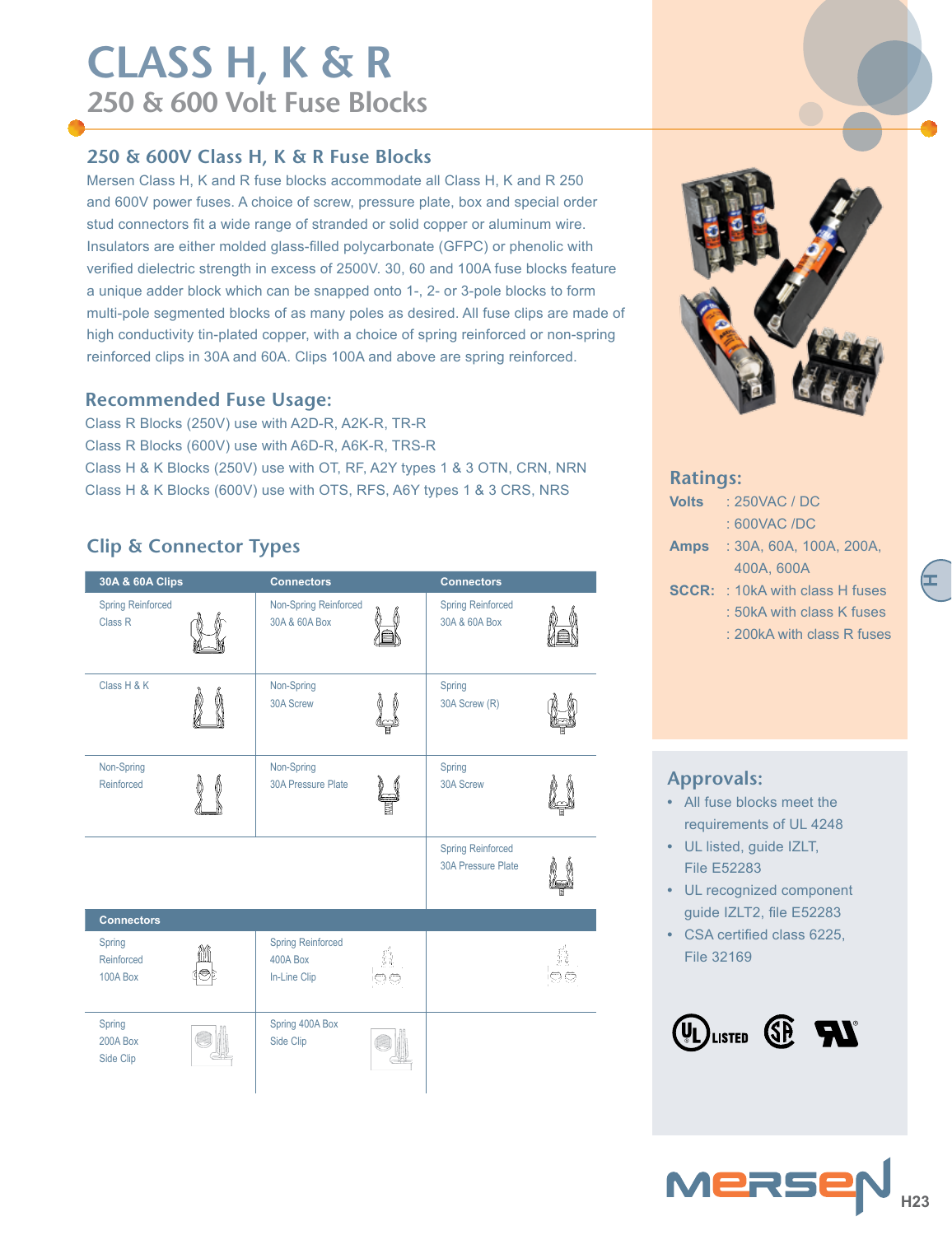## **250 & 600V Class H, K & R Fuse Blocks**

Mersen Class H, K and R fuse blocks accommodate all Class H, K and R 250 and 600V power fuses. A choice of screw, pressure plate, box and special order stud connectors fit a wide range of stranded or solid copper or aluminum wire. Insulators are either molded glass-filled polycarbonate (GFPC) or phenolic with verified dielectric strength in excess of 2500V. 30, 60 and 100A fuse blocks feature a unique adder block which can be snapped onto 1-, 2- or 3-pole blocks to form multi-pole segmented blocks of as many poles as desired. All fuse clips are made of high conductivity tin-plated copper, with a choice of spring reinforced or non-spring reinforced clips in 30A and 60A. Clips 100A and above are spring reinforced.

### **Recommended Fuse Usage:**

Class R Blocks (250V) use with A2D-R, A2K-R, TR-R Class R Blocks (600V) use with A6D-R, A6K-R, TRS-R Class H & K Blocks (250V) use with OT, RF, A2Y types 1 & 3 OTN, CRN, NRN Class H & K Blocks (600V) use with OTS, RFS, A6Y types 1 & 3 CRS, NRS

## **Clip & Connector Types**

| 30A & 60A Clips                                | <b>Connectors</b>                                    |   | <b>Connectors</b>                                     |  |
|------------------------------------------------|------------------------------------------------------|---|-------------------------------------------------------|--|
| <b>Spring Reinforced</b><br>Class <sub>R</sub> | Non-Spring Reinforced<br>30A & 60A Box               |   | <b>Spring Reinforced</b><br>30A & 60A Box             |  |
| Class H & K                                    | Non-Spring<br>30A Screw                              | q | Spring<br>30A Screw (R)                               |  |
| Non-Spring<br>Reinforced                       | Non-Spring<br>30A Pressure Plate                     |   | Spring<br>30A Screw                                   |  |
|                                                |                                                      |   | <b>Spring Reinforced</b><br><b>30A Pressure Plate</b> |  |
| <b>Connectors</b>                              |                                                      |   |                                                       |  |
| Spring<br>Reinforced<br>100A Box               | <b>Spring Reinforced</b><br>400A Box<br>In-Line Clip |   |                                                       |  |
| Spring<br><b>200A Box</b><br>Side Clip         | Spring 400A Box<br>Side Clip                         |   |                                                       |  |



#### **Ratings:**

| Volts       | : 250VAC / DC                          |
|-------------|----------------------------------------|
|             | $:600$ VAC /DC                         |
| <b>Amps</b> | : 30A, 60A, 100A, 200A,                |
|             | 400A, 600A                             |
|             | <b>SCCR:</b> : 10kA with class H fuses |
|             | : 50kA with class K fuses              |
|             | : 200kA with class R fuses             |
|             |                                        |

**H**

## **Approvals:**

- **•** All fuse blocks meet the requirements of UL 4248
- **•** UL listed, guide IZLT, File E52283
- **•** UL recognized component guide IZLT2, file E52283
- **•** CSA certified class 6225, File 32169

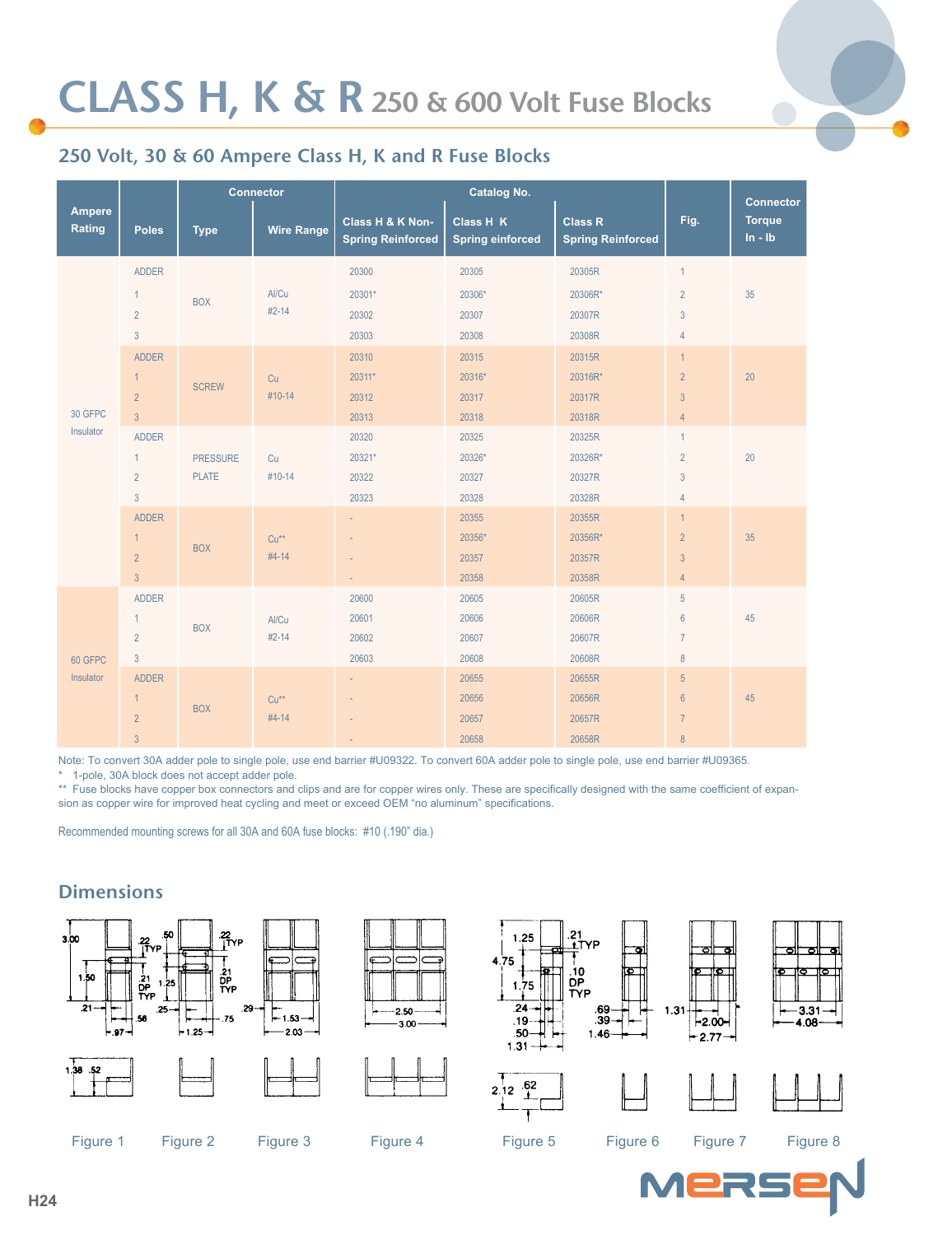

## **250 Volt, 30 & 60 Ampere Class H, K and R Fuse Blocks**

|                         |                | <b>Connector</b> |                   |                                              |                                      | <b>Connector</b>                           |                |                              |
|-------------------------|----------------|------------------|-------------------|----------------------------------------------|--------------------------------------|--------------------------------------------|----------------|------------------------------|
| <b>Ampere</b><br>Rating | <b>Poles</b>   | <b>Type</b>      | <b>Wire Range</b> | Class H & K Non-<br><b>Spring Reinforced</b> | Class H K<br><b>Spring einforced</b> | <b>Class R</b><br><b>Spring Reinforced</b> | Fig.           | <b>Torque</b><br>$\ln - \ln$ |
|                         | <b>ADDER</b>   |                  |                   | 20300                                        | 20305                                | 20305R                                     | $\mathbf{1}$   |                              |
|                         | $\mathbf{1}$   | <b>BOX</b>       | Al/Cu             | 20301*                                       | 20306*                               | 20306R*                                    | $\overline{2}$ | 35                           |
|                         | $\overline{2}$ |                  | $#2 - 14$         | 20302                                        | 20307                                | 20307R                                     | $\sqrt{3}$     |                              |
|                         | $\mathbf{3}$   |                  |                   | 20303                                        | 20308                                | 20308R                                     | $\overline{4}$ |                              |
|                         | <b>ADDER</b>   |                  |                   | 20310                                        | 20315                                | 20315R                                     | $\mathbf{1}$   |                              |
|                         | $\mathbf{1}$   |                  | Cu                | 20311*                                       | 20316*                               | 20316R*                                    | $\overline{2}$ | 20                           |
| 30 GFPC<br>Insulator    | $\overline{2}$ | <b>SCREW</b>     | #10-14            | 20312                                        | 20317                                | 20317R                                     | $\mathbf{3}$   |                              |
|                         | $\overline{3}$ |                  |                   | 20313                                        | 20318                                | 20318R                                     | $\overline{4}$ |                              |
|                         | <b>ADDER</b>   |                  |                   | 20320                                        | 20325                                | 20325R                                     | $\mathbf{1}$   |                              |
|                         | $\mathbf{1}$   | <b>PRESSURE</b>  | Cu                | 20321*                                       | 20326*                               | 20326R*                                    | $\overline{2}$ | 20                           |
|                         | $\overline{2}$ | <b>PLATE</b>     | #10-14            | 20322                                        | 20327                                | 20327R                                     | 3              |                              |
|                         | $\overline{3}$ |                  |                   | 20323                                        | 20328                                | 20328R                                     | $\overline{4}$ |                              |
|                         | <b>ADDER</b>   |                  |                   | $\overline{\phantom{a}}$                     | 20355                                | 20355R                                     | $\mathbf{1}$   |                              |
|                         | $\mathbf{1}$   | <b>BOX</b>       | $Cu**$            |                                              | 20356*                               | 20356R*                                    | $\overline{2}$ | 35                           |
|                         | $\overline{2}$ |                  | $#4-14$           |                                              | 20357                                | 20357R                                     | $\mathbf{3}$   |                              |
|                         | $\overline{3}$ |                  |                   |                                              | 20358                                | 20358R                                     | $\overline{4}$ |                              |
|                         | <b>ADDER</b>   |                  |                   | 20600                                        | 20605                                | 20605R                                     | 5              |                              |
|                         | $\mathbf{1}$   | <b>BOX</b>       | Al/Cu             | 20601                                        | 20606                                | 20606R                                     | $6\,$          | 45                           |
|                         | $\overline{2}$ |                  | $#2 - 14$         | 20602                                        | 20607                                | 20607R                                     | $\overline{7}$ |                              |
| 60 GFPC                 | $\mathbf{3}$   |                  |                   | 20603                                        | 20608                                | 20608R                                     | $\,8\,$        |                              |
| Insulator               | <b>ADDER</b>   |                  |                   |                                              | 20655                                | 20655R                                     | $\overline{5}$ |                              |
|                         | $\mathbf{1}$   | <b>BOX</b>       | $Cu**$            |                                              | 20656                                | 20656R                                     | $6\phantom{a}$ | 45                           |
|                         | $\overline{2}$ |                  | $#4-14$           |                                              | 20657                                | 20657R                                     | $\overline{7}$ |                              |
|                         | 3              |                  |                   |                                              | 20658                                | 20658R                                     | $\,8\,$        |                              |

Note: To convert 30A adder pole to single pole, use end barrier #U09322. To convert 60A adder pole to single pole, use end barrier #U09365.

1-pole, 30A block does not accept adder pole.

\*\* Fuse blocks have copper box connectors and clips and are for copper wires only. These are specifically designed with the same coefficient of expansion as copper wire for improved heat cycling and meet or exceed OEM "no aluminum" specifications.

Recommended mounting screws for all 30A and 60A fuse blocks: #10 (.190" dia.)

## **Dimensions**









1.25

rε





Figure 1 Figure 2 Figure 3 Figure 4 Figure 5 Figure 6 Figure 7 Figure 8



 $-2.00-$ 

 $-2.77$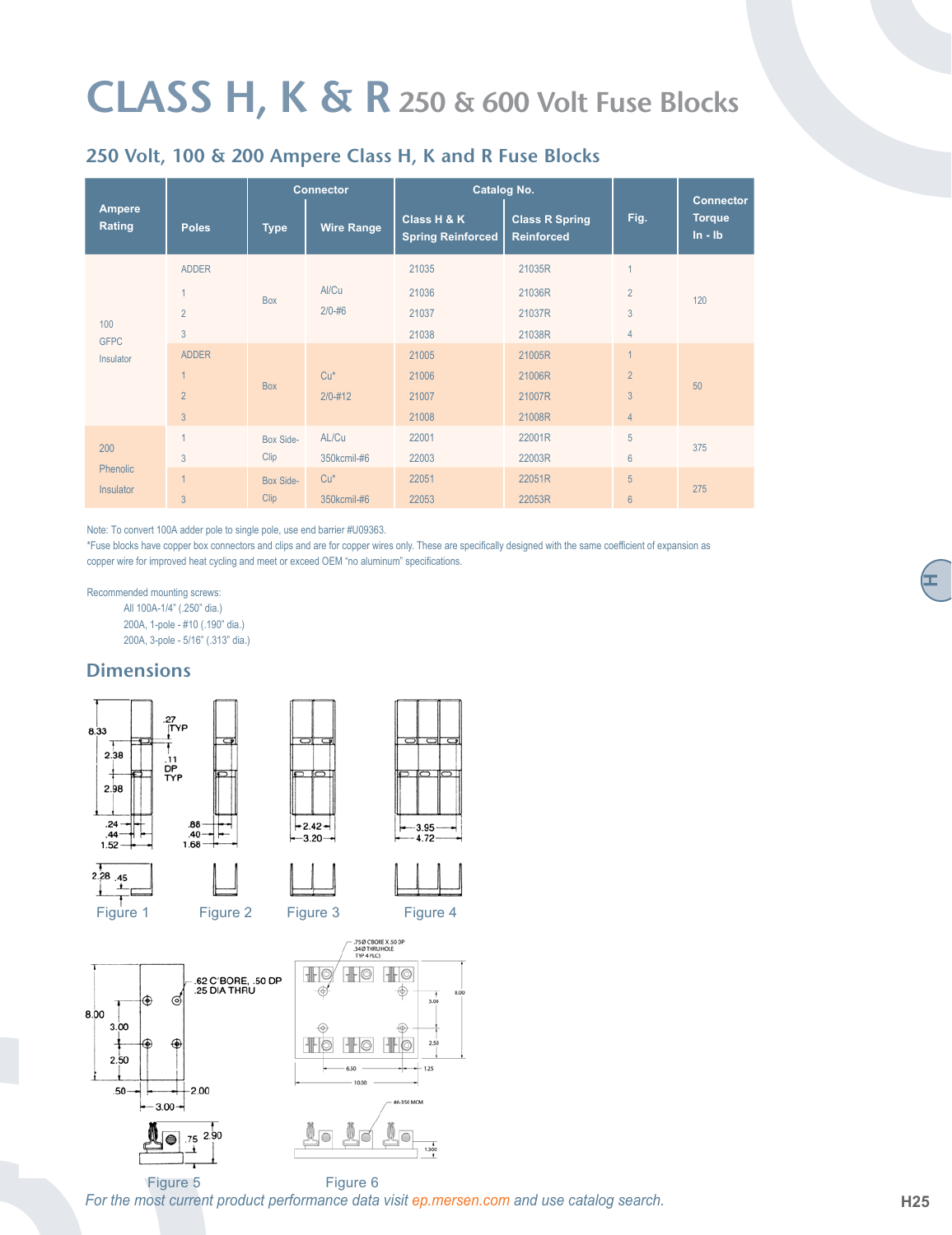## **250 Volt, 100 & 200 Ampere Class H, K and R Fuse Blocks**

|                                 | <b>Connector</b> |             | <b>Catalog No.</b> |                                         | <b>Connector</b>                           |                 |                              |
|---------------------------------|------------------|-------------|--------------------|-----------------------------------------|--------------------------------------------|-----------------|------------------------------|
| Ampere<br>Rating                | <b>Poles</b>     | <b>Type</b> | <b>Wire Range</b>  | Class H & K<br><b>Spring Reinforced</b> | <b>Class R Spring</b><br><b>Reinforced</b> | Fig.            | <b>Torque</b><br>$\ln - \ln$ |
| 100<br><b>GFPC</b><br>Insulator | <b>ADDER</b>     |             |                    | 21035                                   | 21035R                                     |                 |                              |
|                                 |                  | <b>Box</b>  | Al/Cu              | 21036                                   | 21036R                                     | $\overline{2}$  | 120                          |
|                                 | $\overline{2}$   |             | $2/0 - #6$         | 21037                                   | 21037R                                     | 3               |                              |
|                                 | 3                |             |                    | 21038                                   | 21038R                                     | $\overline{4}$  |                              |
|                                 | <b>ADDER</b>     |             |                    | 21005                                   | 21005R                                     | $\overline{A}$  |                              |
|                                 |                  | <b>Box</b>  | $Cu*$              | 21006                                   | 21006R                                     | $\overline{2}$  | 50                           |
|                                 | $\overline{2}$   |             | $2/0 - 412$        | 21007                                   | 21007R                                     | $\overline{3}$  |                              |
|                                 | $\overline{3}$   |             |                    | 21008                                   | 21008R                                     | $\overline{4}$  |                              |
|                                 |                  | Box Side-   | AL/Cu              | 22001                                   | 22001R                                     | 5               | 375                          |
| 200                             | 3                | Clip        | 350kcmil-#6        | 22003                                   | 22003R                                     | $6\phantom{1}$  |                              |
| Phenolic                        |                  | Box Side-   | $Cu*$              | 22051                                   | 22051R                                     | 5               | 275                          |
| Insulator                       | 3                | Clip        | 350kcmil-#6        | 22053                                   | 22053R                                     | $6\overline{6}$ |                              |

Note: To convert 100A adder pole to single pole, use end barrier #U09363.

\*Fuse blocks have copper box connectors and clips and are for copper wires only. These are specifically designed with the same coefficient of expansion as copper wire for improved heat cycling and meet or exceed OEM "no aluminum" specifications.

Recommended mounting screws: All 100A-1/4" (.250" dia.)

200A, 1-pole - #10 (.190" dia.) 200A, 3-pole - 5/16" (.313" dia.)

### **Dimensions**



















**H**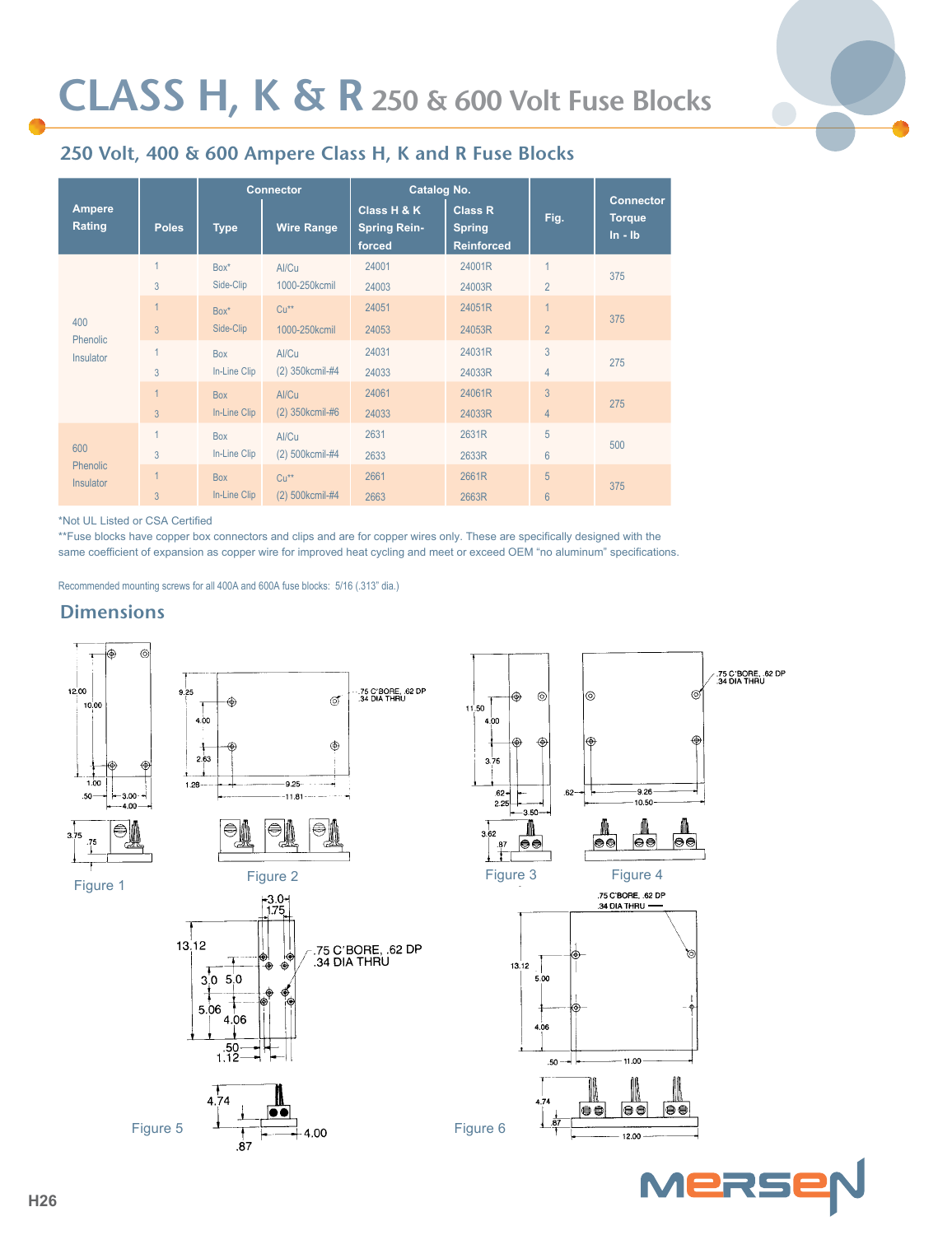

## **250 Volt, 400 & 600 Ampere Class H, K and R Fuse Blocks**

|                                     |                | <b>Connector</b> |                   | Catalog No.                                  |                                                      |                |                                                |  |
|-------------------------------------|----------------|------------------|-------------------|----------------------------------------------|------------------------------------------------------|----------------|------------------------------------------------|--|
| Ampere<br>Rating                    | <b>Poles</b>   | <b>Type</b>      | <b>Wire Range</b> | Class H & K<br><b>Spring Rein-</b><br>forced | <b>Class R</b><br><b>Spring</b><br><b>Reinforced</b> | Fig.           | <b>Connector</b><br><b>Torque</b><br>$ln - lb$ |  |
| 400<br>Phenolic<br>Insulator        |                | Box*             | Al/Cu             | 24001                                        | 24001R                                               | 1              | 375                                            |  |
|                                     | 3              | Side-Clip        | 1000-250kcmil     | 24003                                        | 24003R                                               | $\overline{2}$ |                                                |  |
|                                     |                | $Box^*$          | $Cu**$            | 24051                                        | 24051R                                               |                |                                                |  |
|                                     | $\overline{3}$ | Side-Clip        | 1000-250kcmil     | 24053                                        | 24053R                                               | $\overline{2}$ | 375                                            |  |
|                                     |                | <b>Box</b>       | Al/Cu             | 24031                                        | 24031R                                               | 3              |                                                |  |
|                                     | 3              | In-Line Clip     | (2) 350kcmil-#4   | 24033                                        | 24033R                                               | $\overline{4}$ | 275                                            |  |
|                                     |                | <b>Box</b>       | Al/Cu             | 24061                                        | 24061R                                               | $\overline{3}$ |                                                |  |
|                                     | $\overline{3}$ | In-Line Clip     | (2) 350kcmil-#6   | 24033                                        | 24033R                                               | $\overline{4}$ | 275                                            |  |
|                                     |                | <b>Box</b>       | Al/Cu             | 2631                                         | 2631R                                                | 5              |                                                |  |
| 600                                 | 3              | In-Line Clip     | (2) 500kcmil-#4   | 2633                                         | 2633R                                                | 6              | 500                                            |  |
| <b>Phenolic</b><br><b>Insulator</b> |                | <b>Box</b>       | $Cu**$            | 2661                                         | 2661R                                                | 5              |                                                |  |
|                                     | 3              | In-Line Clip     | (2) 500kcmil-#4   | 2663                                         | 2663R                                                | $6\phantom{1}$ | 375                                            |  |

\*Not UL Listed or CSA Certified

\*\*Fuse blocks have copper box connectors and clips and are for copper wires only. These are specifically designed with the same coefficient of expansion as copper wire for improved heat cycling and meet or exceed OEM "no aluminum" specifications.

Recommended mounting screws for all 400A and 600A fuse blocks: 5/16 (.313" dia.)

#### **Dimensions**



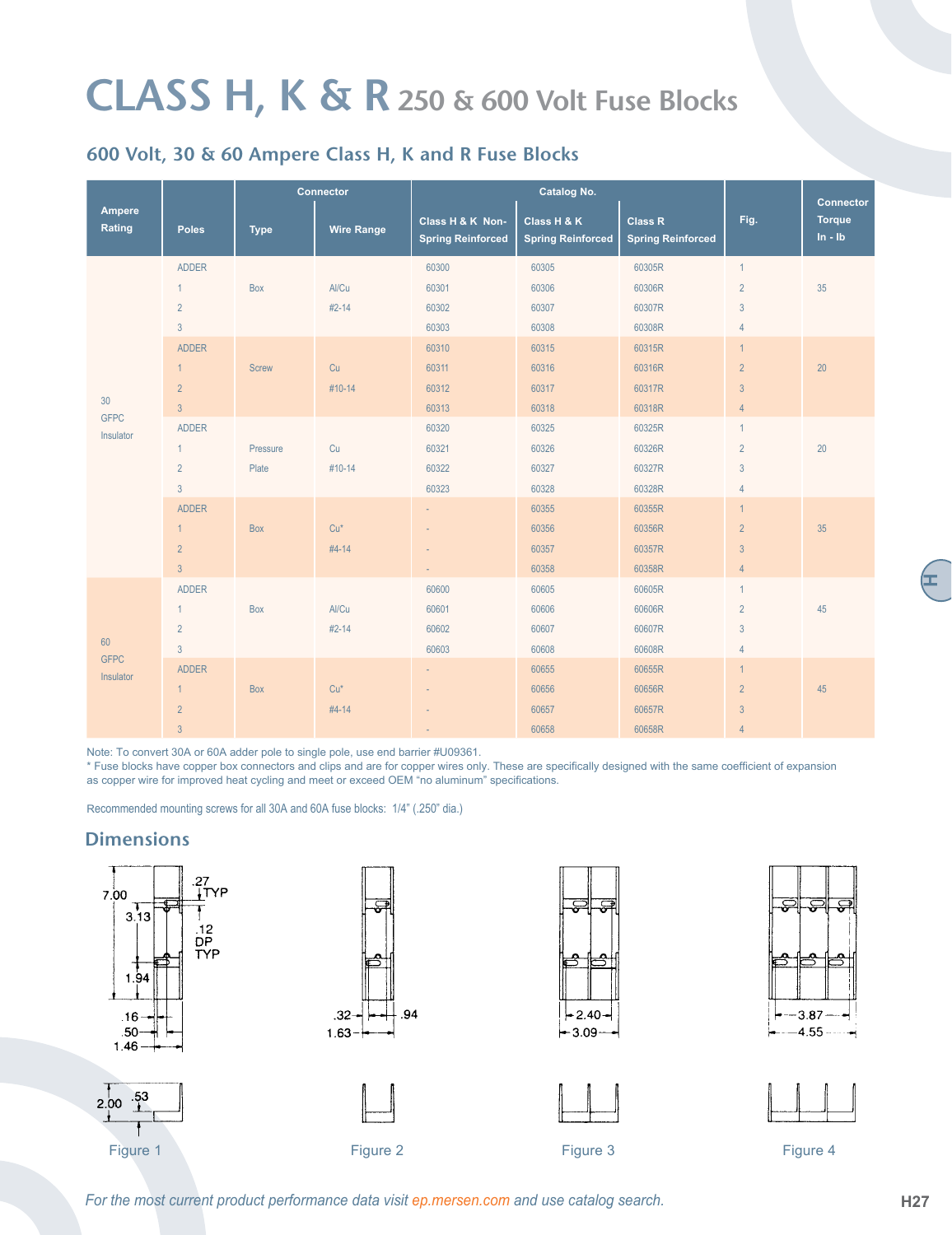## **600 Volt, 30 & 60 Ampere Class H, K and R Fuse Blocks**

|                                | <b>Connector</b> |              |                   |                                              |                                         | <b>Connector</b>                           |                |                              |
|--------------------------------|------------------|--------------|-------------------|----------------------------------------------|-----------------------------------------|--------------------------------------------|----------------|------------------------------|
| Ampere<br>Rating               | <b>Poles</b>     | <b>Type</b>  | <b>Wire Range</b> | Class H & K Non-<br><b>Spring Reinforced</b> | Class H & K<br><b>Spring Reinforced</b> | <b>Class R</b><br><b>Spring Reinforced</b> | Fig.           | <b>Torque</b><br>$\ln - \ln$ |
|                                | ADDER            |              |                   | 60300                                        | 60305                                   | 60305R                                     | $\mathbf{1}$   |                              |
|                                | $\mathbf{1}$     | Box          | Al/Cu             | 60301                                        | 60306                                   | 60306R                                     | $\overline{2}$ | 35                           |
|                                | $\overline{2}$   |              | $#2-14$           | 60302                                        | 60307                                   | 60307R                                     | $\mathbf{3}$   |                              |
|                                | $\mathbf{3}$     |              |                   | 60303                                        | 60308                                   | 60308R                                     | $\overline{4}$ |                              |
|                                | <b>ADDER</b>     |              |                   | 60310                                        | 60315                                   | 60315R                                     | $\mathbf{1}$   |                              |
| 30<br><b>GFPC</b><br>Insulator | $\mathbf{1}$     | <b>Screw</b> | Cu                | 60311                                        | 60316                                   | 60316R                                     | $\overline{2}$ | 20                           |
|                                | $\overline{2}$   |              | #10-14            | 60312                                        | 60317                                   | 60317R                                     | $\mathfrak{Z}$ |                              |
|                                | $\overline{3}$   |              |                   | 60313                                        | 60318                                   | 60318R                                     | $\overline{4}$ |                              |
|                                | <b>ADDER</b>     |              |                   | 60320                                        | 60325                                   | 60325R                                     | $\mathbf{1}$   |                              |
|                                | $\mathbf{1}$     | Pressure     | Cu                | 60321                                        | 60326                                   | 60326R                                     | $\overline{2}$ | 20                           |
|                                | $\overline{2}$   | Plate        | #10-14            | 60322                                        | 60327                                   | 60327R                                     | $\mathbf{3}$   |                              |
|                                | $\mathbf{3}$     |              |                   | 60323                                        | 60328                                   | 60328R                                     | $\overline{4}$ |                              |
|                                | <b>ADDER</b>     |              |                   | ÷.                                           | 60355                                   | 60355R                                     | 1              |                              |
|                                | $\mathbf{1}$     | Box          | $Cu*$             | L.                                           | 60356                                   | 60356R                                     | $\overline{2}$ | 35                           |
|                                | $\overline{2}$   |              | #4-14             | $\sim$                                       | 60357                                   | 60357R                                     | $\mathbf{3}$   |                              |
|                                | $\overline{3}$   |              |                   | ÷.                                           | 60358                                   | 60358R                                     | $\overline{4}$ |                              |
|                                | <b>ADDER</b>     |              |                   | 60600                                        | 60605                                   | 60605R                                     | $\mathbf{1}$   |                              |
|                                | $\mathbf{1}$     | Box          | Al/Cu             | 60601                                        | 60606                                   | 60606R                                     | $\overline{2}$ | 45                           |
|                                | $\overline{2}$   |              | $#2 - 14$         | 60602                                        | 60607                                   | 60607R                                     | $\mathbf{3}$   |                              |
| 60                             | $\mathbf{3}$     |              |                   | 60603                                        | 60608                                   | 60608R                                     | $\overline{4}$ |                              |
| <b>GFPC</b><br>Insulator       | ADDER            |              |                   | $\overline{\phantom{a}}$                     | 60655                                   | 60655R                                     | $\mathbf{1}$   |                              |
|                                | $\mathbf{1}$     | Box          | $Cu*$             | $\sim$                                       | 60656                                   | 60656R                                     | $\overline{2}$ | 45                           |
|                                | $\overline{2}$   |              | $#4-14$           |                                              | 60657                                   | 60657R                                     | $\mathfrak{Z}$ |                              |
|                                | $\overline{3}$   |              |                   |                                              | 60658                                   | 60658R                                     | $\overline{4}$ |                              |

Note: To convert 30A or 60A adder pole to single pole, use end barrier #U09361.

\* Fuse blocks have copper box connectors and clips and are for copper wires only. These are specifically designed with the same coefficient of expansion as copper wire for improved heat cycling and meet or exceed OEM "no aluminum" specifications.

Recommended mounting screws for all 30A and 60A fuse blocks: 1/4" (.250" dia.)

### **Dimensions**











Figure 1 Figure 2 Figure 3 Figure 4

*For the most current product performance data visit ep.mersen.com and use catalog search.* **H27 H27** 

**H**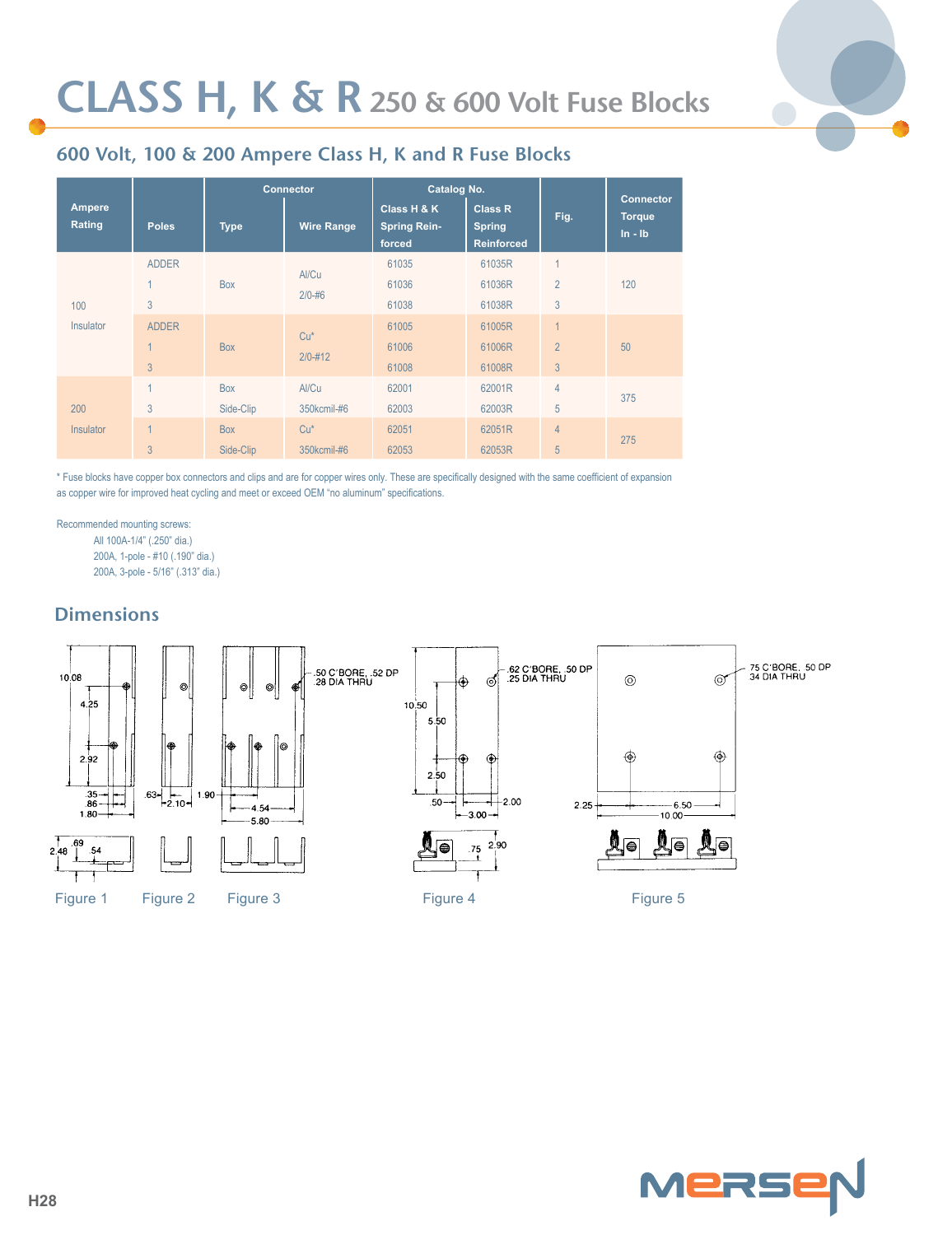

## **600 Volt, 100 & 200 Ampere Class H, K and R Fuse Blocks**

|                         |                |             | Catalog No.<br><b>Connector</b> |                                              |                                                      |                | <b>Connector</b>           |  |
|-------------------------|----------------|-------------|---------------------------------|----------------------------------------------|------------------------------------------------------|----------------|----------------------------|--|
| <b>Ampere</b><br>Rating | <b>Poles</b>   | <b>Type</b> | <b>Wire Range</b>               | Class H & K<br><b>Spring Rein-</b><br>forced | <b>Class R</b><br><b>Spring</b><br><b>Reinforced</b> | Fig.           | <b>Torque</b><br>$ln - lb$ |  |
|                         | <b>ADDER</b>   |             |                                 | 61035                                        | 61035R                                               |                |                            |  |
|                         |                | <b>Box</b>  | Al/Cu<br>$2/0 - 46$             | 61036                                        | 61036R                                               | $\overline{2}$ | 120                        |  |
| 100                     | 3              |             |                                 | 61038                                        | 61038R                                               | 3              |                            |  |
| <b>Insulator</b>        | <b>ADDER</b>   |             |                                 | 61005                                        | 61005R                                               | $\overline{1}$ |                            |  |
|                         |                | <b>Box</b>  | $Cu*$                           | 61006                                        | 61006R                                               | $\overline{2}$ | 50                         |  |
|                         | 3              |             | $2/0 - 412$                     | 61008                                        | 61008R                                               | 3              |                            |  |
|                         | $\overline{A}$ | <b>Box</b>  | Al/Cu                           | 62001                                        | 62001R                                               | $\overline{4}$ |                            |  |
| 200                     | 3              | Side-Clip   | 350kcmil-#6                     | 62003                                        | 62003R                                               | 5              | 375                        |  |
| <b>Insulator</b>        | $\overline{A}$ | <b>Box</b>  | $Cu*$                           | 62051                                        | 62051R                                               | $\overline{4}$ |                            |  |
|                         | 3              | Side-Clip   | 350kcmil-#6                     | 62053                                        | 62053R                                               | 5              | 275                        |  |

\* Fuse blocks have copper box connectors and clips and are for copper wires only. These are specifically designed with the same coefficient of expansion as copper wire for improved heat cycling and meet or exceed OEM "no aluminum" specifications.

Recommended mounting screws: All 100A-1/4" (.250" dia.) 200A, 1-pole - #10 (.190" dia.)

200A, 3-pole - 5/16" (.313" dia.)

## **Dimensions**